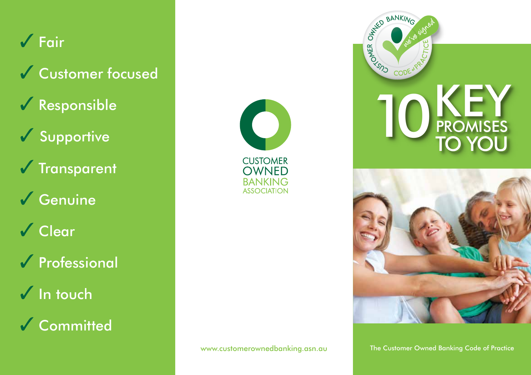## $\sqrt{\overline{F}}$ air

- ✔ Customer focused
- $\sqrt{\ }$  Responsible
- $\checkmark$  Supportive
- $\sqrt{\ }$ Transparent
- $\sqrt{\frac{1}{2}}$  Genuine
- √ Clear
- **V** Professional
- $\sqrt{}$  In touch
- √ Committed







The Customer Owned Banking Code of Practice